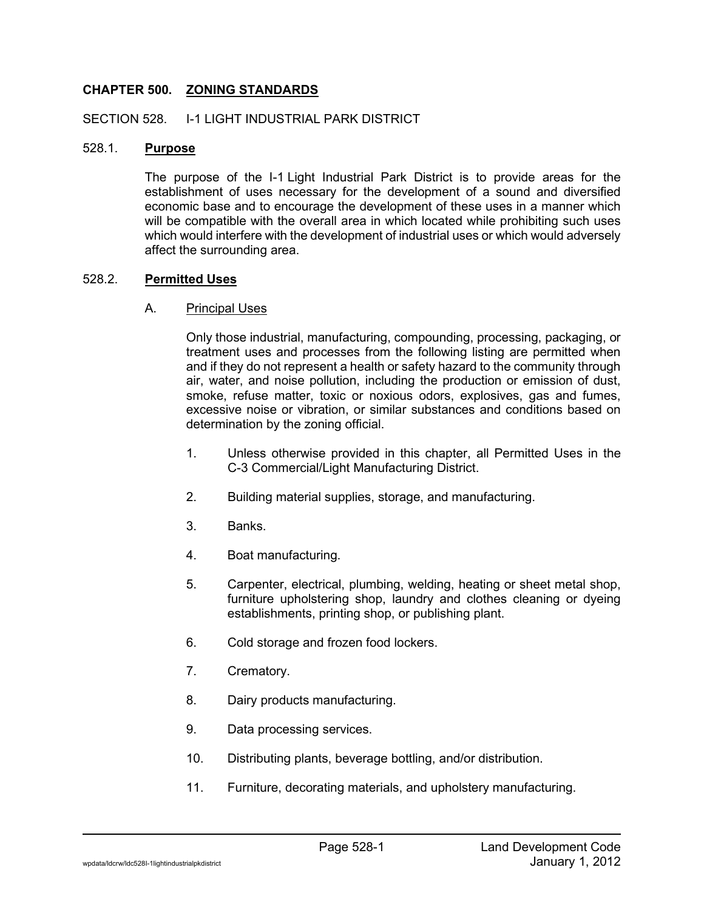# **CHAPTER 500. ZONING STANDARDS**

### SECTION 528. I-1 LIGHT INDUSTRIAL PARK DISTRICT

### 528.1. **Purpose**

The purpose of the I-1 Light Industrial Park District is to provide areas for the establishment of uses necessary for the development of a sound and diversified economic base and to encourage the development of these uses in a manner which will be compatible with the overall area in which located while prohibiting such uses which would interfere with the development of industrial uses or which would adversely affect the surrounding area.

## 528.2. **Permitted Uses**

## A. Principal Uses

Only those industrial, manufacturing, compounding, processing, packaging, or treatment uses and processes from the following listing are permitted when and if they do not represent a health or safety hazard to the community through air, water, and noise pollution, including the production or emission of dust, smoke, refuse matter, toxic or noxious odors, explosives, gas and fumes, excessive noise or vibration, or similar substances and conditions based on determination by the zoning official.

- 1. Unless otherwise provided in this chapter, all Permitted Uses in the C-3 Commercial/Light Manufacturing District.
- 2. Building material supplies, storage, and manufacturing.
- 3. Banks.
- 4. Boat manufacturing.
- 5. Carpenter, electrical, plumbing, welding, heating or sheet metal shop, furniture upholstering shop, laundry and clothes cleaning or dyeing establishments, printing shop, or publishing plant.
- 6. Cold storage and frozen food lockers.
- 7. Crematory.
- 8. Dairy products manufacturing.
- 9. Data processing services.
- 10. Distributing plants, beverage bottling, and/or distribution.
- 11. Furniture, decorating materials, and upholstery manufacturing.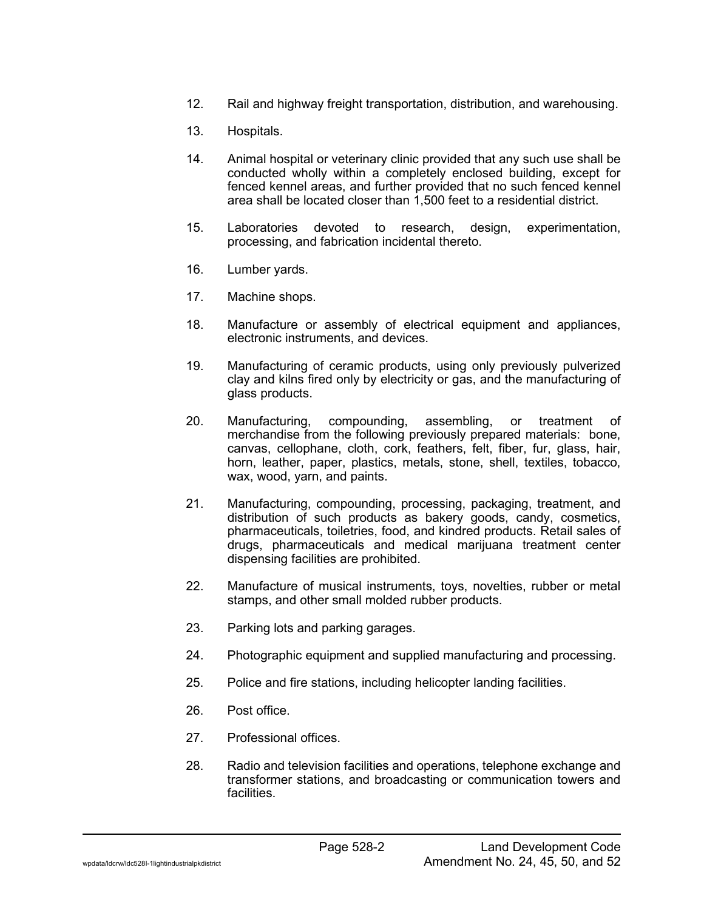- 12. Rail and highway freight transportation, distribution, and warehousing.
- 13. Hospitals.
- 14. Animal hospital or veterinary clinic provided that any such use shall be conducted wholly within a completely enclosed building, except for fenced kennel areas, and further provided that no such fenced kennel area shall be located closer than 1,500 feet to a residential district.
- 15. Laboratories devoted to research, design, experimentation, processing, and fabrication incidental thereto.
- 16. Lumber yards.
- 17. Machine shops.
- 18. Manufacture or assembly of electrical equipment and appliances, electronic instruments, and devices.
- 19. Manufacturing of ceramic products, using only previously pulverized clay and kilns fired only by electricity or gas, and the manufacturing of glass products.
- 20. Manufacturing, compounding, assembling, or treatment of merchandise from the following previously prepared materials: bone, canvas, cellophane, cloth, cork, feathers, felt, fiber, fur, glass, hair, horn, leather, paper, plastics, metals, stone, shell, textiles, tobacco, wax, wood, yarn, and paints.
- 21. Manufacturing, compounding, processing, packaging, treatment, and distribution of such products as bakery goods, candy, cosmetics, pharmaceuticals, toiletries, food, and kindred products. Retail sales of drugs, pharmaceuticals and medical marijuana treatment center dispensing facilities are prohibited.
- 22. Manufacture of musical instruments, toys, novelties, rubber or metal stamps, and other small molded rubber products.
- 23. Parking lots and parking garages.
- 24. Photographic equipment and supplied manufacturing and processing.
- 25. Police and fire stations, including helicopter landing facilities.
- 26. Post office.
- 27. Professional offices.
- 28. Radio and television facilities and operations, telephone exchange and transformer stations, and broadcasting or communication towers and facilities.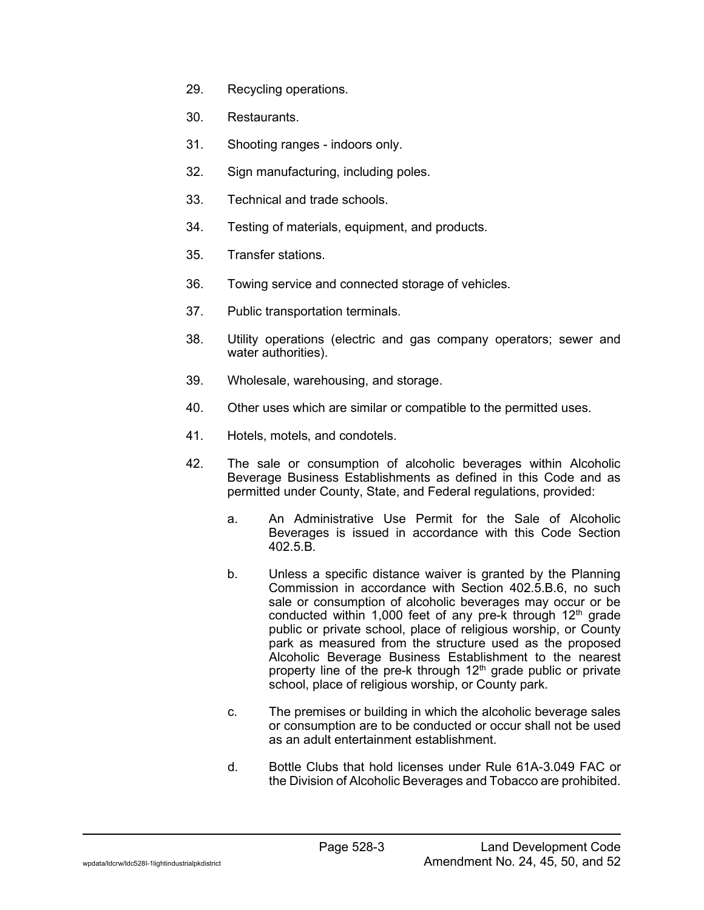- 29. Recycling operations.
- 30. Restaurants.
- 31. Shooting ranges indoors only.
- 32. Sign manufacturing, including poles.
- 33. Technical and trade schools.
- 34. Testing of materials, equipment, and products.
- 35. Transfer stations.
- 36. Towing service and connected storage of vehicles.
- 37. Public transportation terminals.
- 38. Utility operations (electric and gas company operators; sewer and water authorities).
- 39. Wholesale, warehousing, and storage.
- 40. Other uses which are similar or compatible to the permitted uses.
- 41. Hotels, motels, and condotels.
- 42. The sale or consumption of alcoholic beverages within Alcoholic Beverage Business Establishments as defined in this Code and as permitted under County, State, and Federal regulations, provided:
	- a. An Administrative Use Permit for the Sale of Alcoholic Beverages is issued in accordance with this Code Section  $402.5B$
	- b. Unless a specific distance waiver is granted by the Planning Commission in accordance with Section 402.5.B.6, no such sale or consumption of alcoholic beverages may occur or be conducted within 1,000 feet of any pre- $\overline{k}$  through 12<sup>th</sup> grade public or private school, place of religious worship, or County park as measured from the structure used as the proposed Alcoholic Beverage Business Establishment to the nearest property line of the pre-k through  $12<sup>th</sup>$  grade public or private school, place of religious worship, or County park.
	- c. The premises or building in which the alcoholic beverage sales or consumption are to be conducted or occur shall not be used as an adult entertainment establishment.
	- d. Bottle Clubs that hold licenses under Rule 61A-3.049 FAC or the Division of Alcoholic Beverages and Tobacco are prohibited.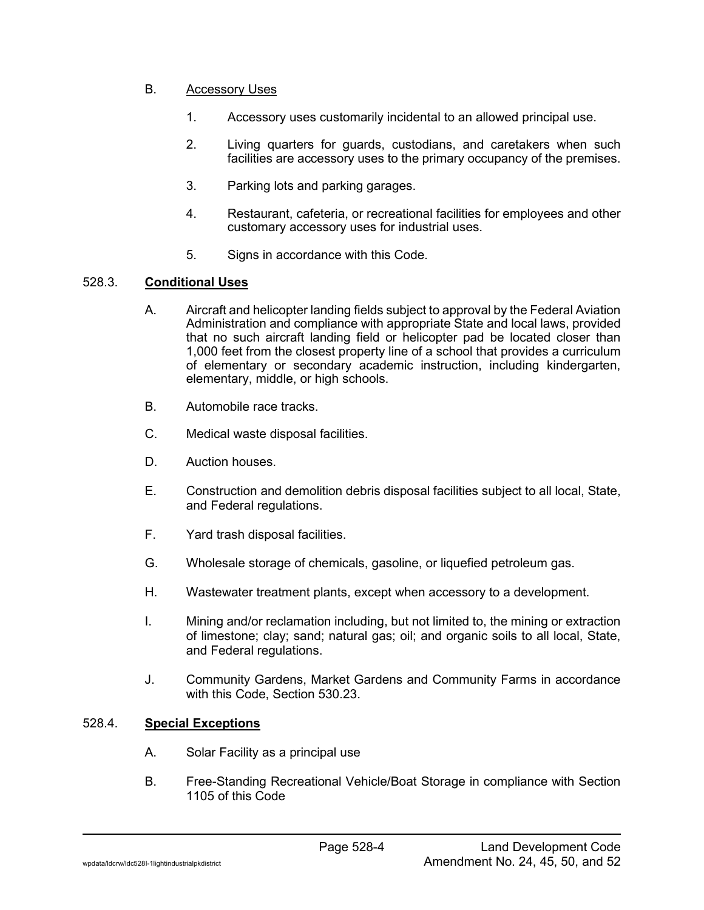# B. Accessory Uses

- 1. Accessory uses customarily incidental to an allowed principal use.
- 2. Living quarters for guards, custodians, and caretakers when such facilities are accessory uses to the primary occupancy of the premises.
- 3. Parking lots and parking garages.
- 4. Restaurant, cafeteria, or recreational facilities for employees and other customary accessory uses for industrial uses.
- 5. Signs in accordance with this Code.

## 528.3. **Conditional Uses**

- A. Aircraft and helicopter landing fields subject to approval by the Federal Aviation Administration and compliance with appropriate State and local laws, provided that no such aircraft landing field or helicopter pad be located closer than 1,000 feet from the closest property line of a school that provides a curriculum of elementary or secondary academic instruction, including kindergarten, elementary, middle, or high schools.
- B. Automobile race tracks.
- C. Medical waste disposal facilities.
- D. Auction houses.
- E. Construction and demolition debris disposal facilities subject to all local, State, and Federal regulations.
- F. Yard trash disposal facilities.
- G. Wholesale storage of chemicals, gasoline, or liquefied petroleum gas.
- H. Wastewater treatment plants, except when accessory to a development.
- I. Mining and/or reclamation including, but not limited to, the mining or extraction of limestone; clay; sand; natural gas; oil; and organic soils to all local, State, and Federal regulations.
- J. Community Gardens, Market Gardens and Community Farms in accordance with this Code, Section 530.23.

## 528.4. **Special Exceptions**

- A. Solar Facility as a principal use
- B. Free-Standing Recreational Vehicle/Boat Storage in compliance with Section 1105 of this Code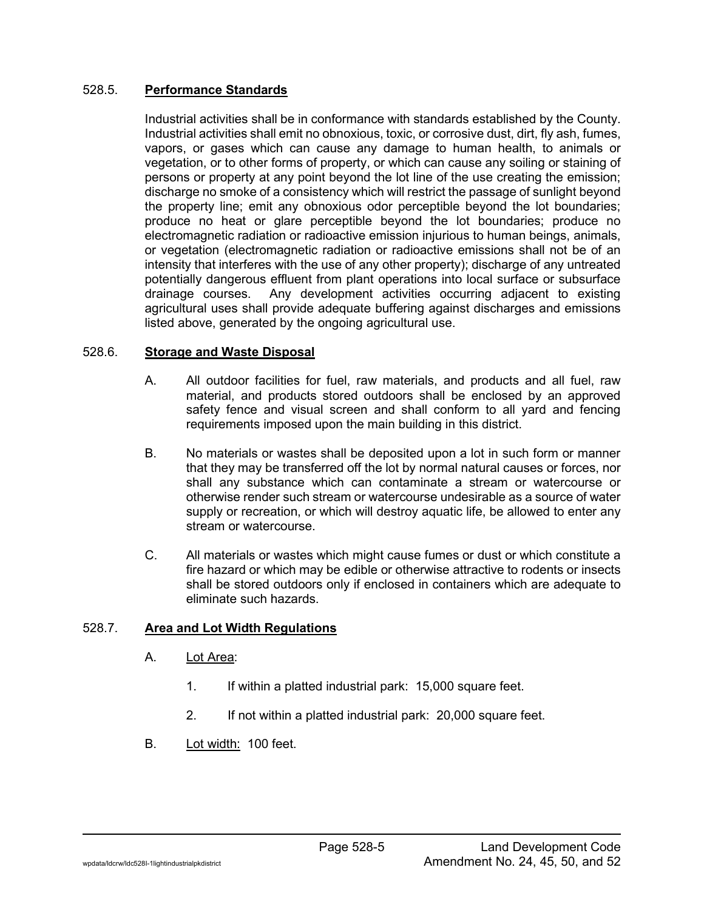## 528.5. **Performance Standards**

Industrial activities shall be in conformance with standards established by the County. Industrial activities shall emit no obnoxious, toxic, or corrosive dust, dirt, fly ash, fumes, vapors, or gases which can cause any damage to human health, to animals or vegetation, or to other forms of property, or which can cause any soiling or staining of persons or property at any point beyond the lot line of the use creating the emission; discharge no smoke of a consistency which will restrict the passage of sunlight beyond the property line; emit any obnoxious odor perceptible beyond the lot boundaries; produce no heat or glare perceptible beyond the lot boundaries; produce no electromagnetic radiation or radioactive emission injurious to human beings, animals, or vegetation (electromagnetic radiation or radioactive emissions shall not be of an intensity that interferes with the use of any other property); discharge of any untreated potentially dangerous effluent from plant operations into local surface or subsurface drainage courses. Any development activities occurring adjacent to existing agricultural uses shall provide adequate buffering against discharges and emissions listed above, generated by the ongoing agricultural use.

## 528.6. **Storage and Waste Disposal**

- A. All outdoor facilities for fuel, raw materials, and products and all fuel, raw material, and products stored outdoors shall be enclosed by an approved safety fence and visual screen and shall conform to all yard and fencing requirements imposed upon the main building in this district.
- B. No materials or wastes shall be deposited upon a lot in such form or manner that they may be transferred off the lot by normal natural causes or forces, nor shall any substance which can contaminate a stream or watercourse or otherwise render such stream or watercourse undesirable as a source of water supply or recreation, or which will destroy aquatic life, be allowed to enter any stream or watercourse.
- C. All materials or wastes which might cause fumes or dust or which constitute a fire hazard or which may be edible or otherwise attractive to rodents or insects shall be stored outdoors only if enclosed in containers which are adequate to eliminate such hazards.

#### 528.7. **Area and Lot Width Regulations**

- A. Lot Area:
	- 1. If within a platted industrial park: 15,000 square feet.
	- 2. If not within a platted industrial park: 20,000 square feet.
- B. Lot width: 100 feet.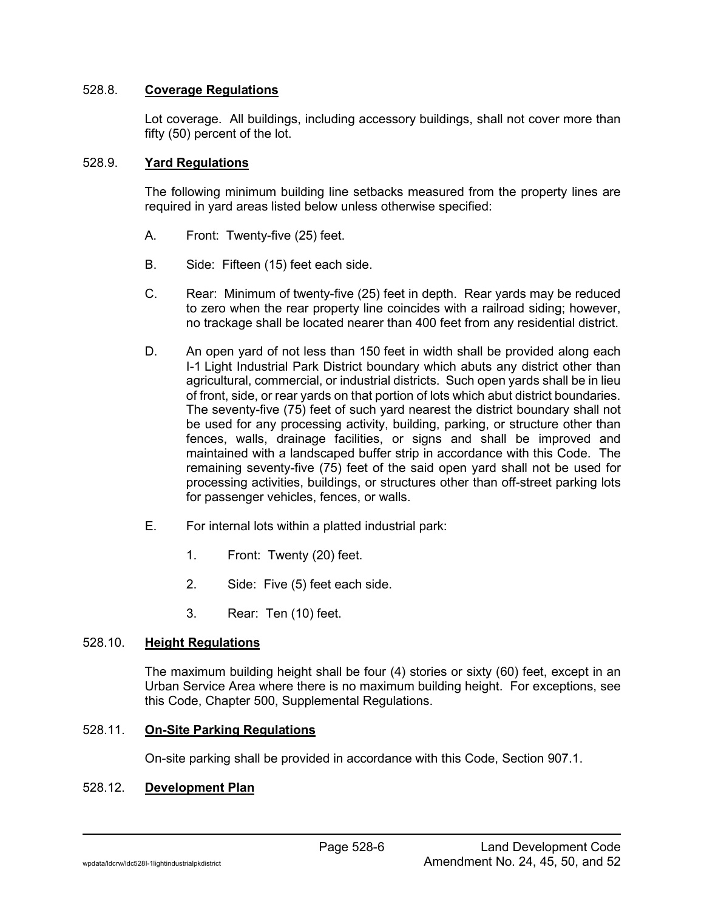### 528.8. **Coverage Regulations**

Lot coverage. All buildings, including accessory buildings, shall not cover more than fifty (50) percent of the lot.

#### 528.9. **Yard Regulations**

The following minimum building line setbacks measured from the property lines are required in yard areas listed below unless otherwise specified:

- A. Front: Twenty-five (25) feet.
- B. Side: Fifteen (15) feet each side.
- C. Rear: Minimum of twenty-five (25) feet in depth. Rear yards may be reduced to zero when the rear property line coincides with a railroad siding; however, no trackage shall be located nearer than 400 feet from any residential district.
- D. An open yard of not less than 150 feet in width shall be provided along each I-1 Light Industrial Park District boundary which abuts any district other than agricultural, commercial, or industrial districts. Such open yards shall be in lieu of front, side, or rear yards on that portion of lots which abut district boundaries. The seventy-five (75) feet of such yard nearest the district boundary shall not be used for any processing activity, building, parking, or structure other than fences, walls, drainage facilities, or signs and shall be improved and maintained with a landscaped buffer strip in accordance with this Code. The remaining seventy-five (75) feet of the said open yard shall not be used for processing activities, buildings, or structures other than off-street parking lots for passenger vehicles, fences, or walls.
- E. For internal lots within a platted industrial park:
	- 1. Front: Twenty (20) feet.
	- 2. Side: Five (5) feet each side.
	- 3. Rear: Ten (10) feet.

#### 528.10. **Height Regulations**

The maximum building height shall be four (4) stories or sixty (60) feet, except in an Urban Service Area where there is no maximum building height. For exceptions, see this Code, Chapter 500, Supplemental Regulations.

## 528.11. **On-Site Parking Regulations**

On-site parking shall be provided in accordance with this Code, Section 907.1.

## 528.12. **Development Plan**